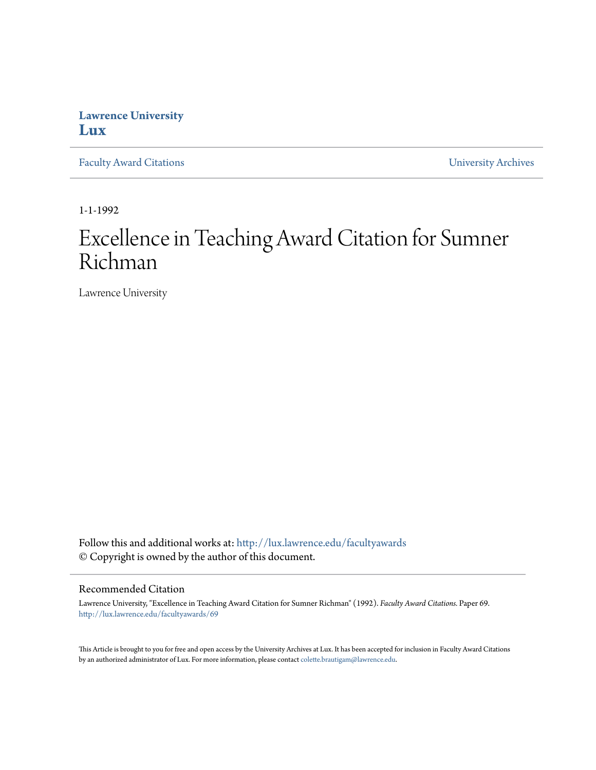## **Lawrence University [Lux](http://lux.lawrence.edu?utm_source=lux.lawrence.edu%2Ffacultyawards%2F69&utm_medium=PDF&utm_campaign=PDFCoverPages)**

[Faculty Award Citations](http://lux.lawrence.edu/facultyawards?utm_source=lux.lawrence.edu%2Ffacultyawards%2F69&utm_medium=PDF&utm_campaign=PDFCoverPages) **Example 2018** [University Archives](http://lux.lawrence.edu/archives?utm_source=lux.lawrence.edu%2Ffacultyawards%2F69&utm_medium=PDF&utm_campaign=PDFCoverPages)

1-1-1992

# Excellence in Teaching Award Citation for Sumner Richman

Lawrence University

Follow this and additional works at: [http://lux.lawrence.edu/facultyawards](http://lux.lawrence.edu/facultyawards?utm_source=lux.lawrence.edu%2Ffacultyawards%2F69&utm_medium=PDF&utm_campaign=PDFCoverPages) © Copyright is owned by the author of this document.

#### Recommended Citation

Lawrence University, "Excellence in Teaching Award Citation for Sumner Richman" (1992). *Faculty Award Citations.* Paper 69. [http://lux.lawrence.edu/facultyawards/69](http://lux.lawrence.edu/facultyawards/69?utm_source=lux.lawrence.edu%2Ffacultyawards%2F69&utm_medium=PDF&utm_campaign=PDFCoverPages)

This Article is brought to you for free and open access by the University Archives at Lux. It has been accepted for inclusion in Faculty Award Citations by an authorized administrator of Lux. For more information, please contact [colette.brautigam@lawrence.edu](mailto:colette.brautigam@lawrence.edu).